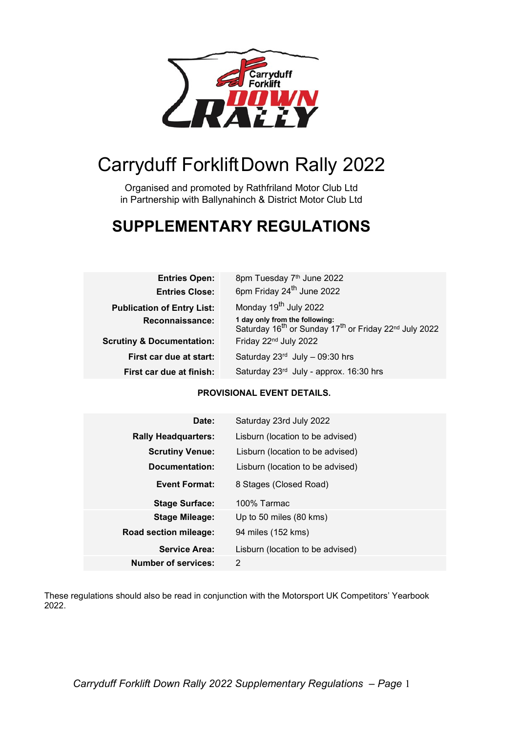

# Carryduff ForkliftDown Rally 2022

Organised and promoted by Rathfriland Motor Club Ltd in Partnership with Ballynahinch & District Motor Club Ltd

## SUPPLEMENTARY REGULATIONS

| <b>Entries Open:</b>                 | 8pm Tuesday 7th June 2022                                                                                                   |  |
|--------------------------------------|-----------------------------------------------------------------------------------------------------------------------------|--|
| <b>Entries Close:</b>                | 6pm Friday 24 <sup>th</sup> June 2022                                                                                       |  |
| <b>Publication of Entry List:</b>    | Monday 19 <sup>th</sup> July 2022                                                                                           |  |
| Reconnaissance:                      | 1 day only from the following:<br>Saturday 16 <sup>th</sup> or Sunday 17 <sup>th</sup> or Friday 22 <sup>nd</sup> July 2022 |  |
| <b>Scrutiny &amp; Documentation:</b> | Friday 22 <sup>nd</sup> July 2022                                                                                           |  |
| First car due at start:              | Saturday $23^{rd}$ July - 09:30 hrs                                                                                         |  |
| First car due at finish:             | Saturday 23rd July - approx. 16:30 hrs                                                                                      |  |

## PROVISIONAL EVENT DETAILS.

| Date:                      | Saturday 23rd July 2022          |
|----------------------------|----------------------------------|
| <b>Rally Headquarters:</b> | Lisburn (location to be advised) |
| <b>Scrutiny Venue:</b>     | Lisburn (location to be advised) |
| Documentation:             | Lisburn (location to be advised) |
| <b>Event Format:</b>       | 8 Stages (Closed Road)           |
| <b>Stage Surface:</b>      | 100% Tarmac                      |
| <b>Stage Mileage:</b>      | Up to 50 miles $(80 \text{ km})$ |
| Road section mileage:      | 94 miles (152 kms)               |
| <b>Service Area:</b>       | Lisburn (location to be advised) |
| <b>Number of services:</b> | 2                                |

These regulations should also be read in conjunction with the Motorsport UK Competitors' Yearbook 2022.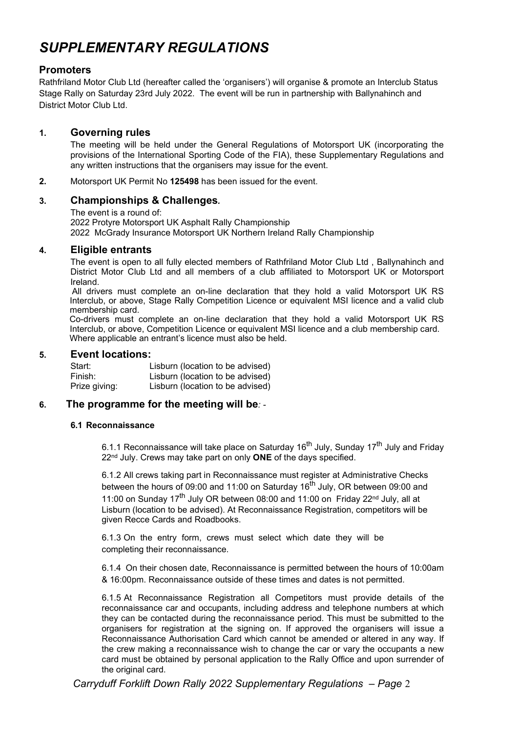## SUPPLEMENTARY REGULATIONS

## **Promoters**

Rathfriland Motor Club Ltd (hereafter called the 'organisers') will organise & promote an Interclub Status Stage Rally on Saturday 23rd July 2022. The event will be run in partnership with Ballynahinch and District Motor Club Ltd.

## 1. Governing rules

The meeting will be held under the General Regulations of Motorsport UK (incorporating the provisions of the International Sporting Code of the FIA), these Supplementary Regulations and any written instructions that the organisers may issue for the event.

2. Motorsport UK Permit No 125498 has been issued for the event.

## 3. Championships & Challenges.

The event is a round of: 2022 Protyre Motorsport UK Asphalt Rally Championship 2022 McGrady Insurance Motorsport UK Northern Ireland Rally Championship

### 4. Eligible entrants

The event is open to all fully elected members of Rathfriland Motor Club Ltd , Ballynahinch and District Motor Club Ltd and all members of a club affiliated to Motorsport UK or Motorsport Ireland.

 All drivers must complete an on-line declaration that they hold a valid Motorsport UK RS Interclub, or above, Stage Rally Competition Licence or equivalent MSI licence and a valid club membership card.

 Co-drivers must complete an on-line declaration that they hold a valid Motorsport UK RS Interclub, or above, Competition Licence or equivalent MSI licence and a club membership card. Where applicable an entrant's licence must also be held.

### 5. Event locations:

| Start:        | Lisburn (location to be advised) |
|---------------|----------------------------------|
| Finish:       | Lisburn (location to be advised) |
| Prize giving: | Lisburn (location to be advised) |

## 6. The programme for the meeting will be: -

#### 6.1 Reconnaissance

6.1.1 Reconnaissance will take place on Saturday 16<sup>th</sup> July, Sunday 17<sup>th</sup> July and Friday 22<sup>nd</sup> July. Crews may take part on only **ONE** of the days specified.

6.1.2 All crews taking part in Reconnaissance must register at Administrative Checks between the hours of 09:00 and 11:00 on Saturday 16<sup>th</sup> July, OR between 09:00 and 11:00 on Sunday 17<sup>th</sup> July OR between 08:00 and 11:00 on Friday 22<sup>nd</sup> July, all at Lisburn (location to be advised). At Reconnaissance Registration, competitors will be given Recce Cards and Roadbooks.

6.1.3 On the entry form, crews must select which date they will be completing their reconnaissance.

6.1.4 On their chosen date, Reconnaissance is permitted between the hours of 10:00am & 16:00pm. Reconnaissance outside of these times and dates is not permitted.

6.1.5 At Reconnaissance Registration all Competitors must provide details of the reconnaissance car and occupants, including address and telephone numbers at which they can be contacted during the reconnaissance period. This must be submitted to the organisers for registration at the signing on. If approved the organisers will issue a Reconnaissance Authorisation Card which cannot be amended or altered in any way. If the crew making a reconnaissance wish to change the car or vary the occupants a new card must be obtained by personal application to the Rally Office and upon surrender of the original card.

Carryduff Forklift Down Rally 2022 Supplementary Regulations – Page 2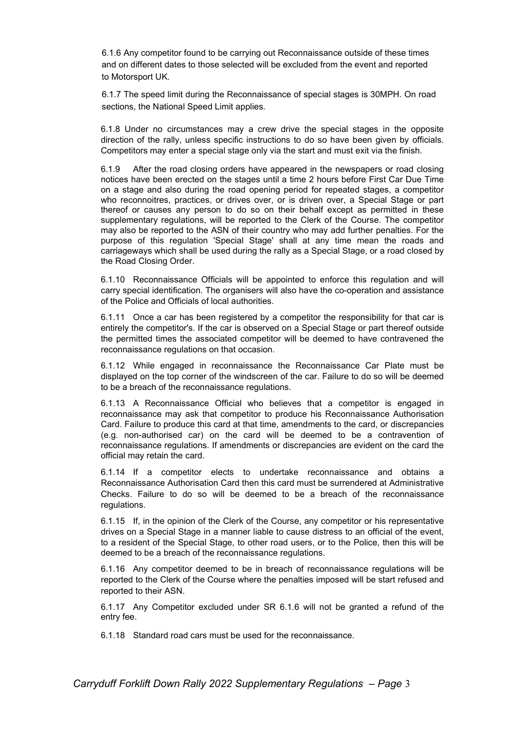6.1.6 Any competitor found to be carrying out Reconnaissance outside of these times and on different dates to those selected will be excluded from the event and reported to Motorsport UK.

6.1.7 The speed limit during the Reconnaissance of special stages is 30MPH. On road sections, the National Speed Limit applies.

6.1.8 Under no circumstances may a crew drive the special stages in the opposite direction of the rally, unless specific instructions to do so have been given by officials. Competitors may enter a special stage only via the start and must exit via the finish.

6.1.9 After the road closing orders have appeared in the newspapers or road closing notices have been erected on the stages until a time 2 hours before First Car Due Time on a stage and also during the road opening period for repeated stages, a competitor who reconnoitres, practices, or drives over, or is driven over, a Special Stage or part thereof or causes any person to do so on their behalf except as permitted in these supplementary regulations, will be reported to the Clerk of the Course. The competitor may also be reported to the ASN of their country who may add further penalties. For the purpose of this regulation 'Special Stage' shall at any time mean the roads and carriageways which shall be used during the rally as a Special Stage, or a road closed by the Road Closing Order.

6.1.10 Reconnaissance Officials will be appointed to enforce this regulation and will carry special identification. The organisers will also have the co-operation and assistance of the Police and Officials of local authorities.

6.1.11 Once a car has been registered by a competitor the responsibility for that car is entirely the competitor's. If the car is observed on a Special Stage or part thereof outside the permitted times the associated competitor will be deemed to have contravened the reconnaissance regulations on that occasion.

6.1.12 While engaged in reconnaissance the Reconnaissance Car Plate must be displayed on the top corner of the windscreen of the car. Failure to do so will be deemed to be a breach of the reconnaissance regulations.

6.1.13 A Reconnaissance Official who believes that a competitor is engaged in reconnaissance may ask that competitor to produce his Reconnaissance Authorisation Card. Failure to produce this card at that time, amendments to the card, or discrepancies (e.g. non-authorised car) on the card will be deemed to be a contravention of reconnaissance regulations. If amendments or discrepancies are evident on the card the official may retain the card.

6.1.14 If a competitor elects to undertake reconnaissance and obtains a Reconnaissance Authorisation Card then this card must be surrendered at Administrative Checks. Failure to do so will be deemed to be a breach of the reconnaissance regulations.

6.1.15 If, in the opinion of the Clerk of the Course, any competitor or his representative drives on a Special Stage in a manner liable to cause distress to an official of the event, to a resident of the Special Stage, to other road users, or to the Police, then this will be deemed to be a breach of the reconnaissance regulations.

6.1.16 Any competitor deemed to be in breach of reconnaissance regulations will be reported to the Clerk of the Course where the penalties imposed will be start refused and reported to their ASN.

6.1.17 Any Competitor excluded under SR 6.1.6 will not be granted a refund of the entry fee.

6.1.18 Standard road cars must be used for the reconnaissance.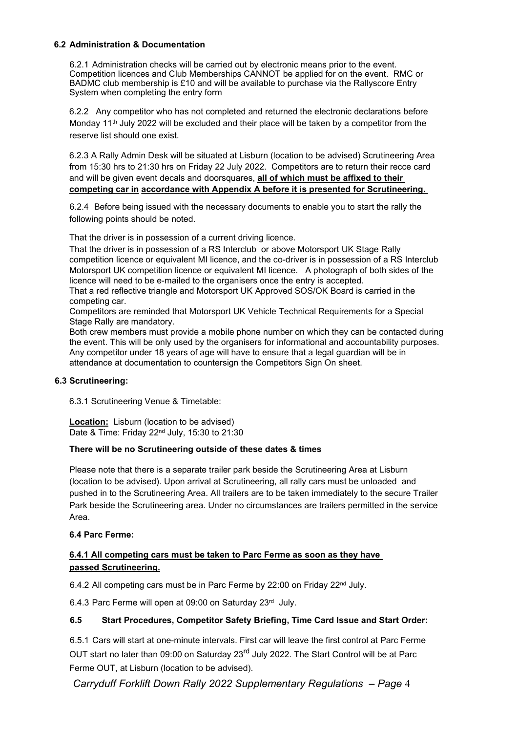#### 6.2 Administration & Documentation

6.2.1 Administration checks will be carried out by electronic means prior to the event. Competition licences and Club Memberships CANNOT be applied for on the event. RMC or BADMC club membership is £10 and will be available to purchase via the Rallyscore Entry System when completing the entry form

6.2.2 Any competitor who has not completed and returned the electronic declarations before Monday 11<sup>th</sup> July 2022 will be excluded and their place will be taken by a competitor from the reserve list should one exist.

6.2.3 A Rally Admin Desk will be situated at Lisburn (location to be advised) Scrutineering Area from 15:30 hrs to 21:30 hrs on Friday 22 July 2022. Competitors are to return their recce card and will be given event decals and doorsquares, all of which must be affixed to their competing car in accordance with Appendix A before it is presented for Scrutineering.

6.2.4 Before being issued with the necessary documents to enable you to start the rally the following points should be noted.

That the driver is in possession of a current driving licence.

That the driver is in possession of a RS Interclub or above Motorsport UK Stage Rally competition licence or equivalent MI licence, and the co-driver is in possession of a RS Interclub Motorsport UK competition licence or equivalent MI licence. A photograph of both sides of the licence will need to be e-mailed to the organisers once the entry is accepted.

That a red reflective triangle and Motorsport UK Approved SOS/OK Board is carried in the competing car.

Competitors are reminded that Motorsport UK Vehicle Technical Requirements for a Special Stage Rally are mandatory.

Both crew members must provide a mobile phone number on which they can be contacted during the event. This will be only used by the organisers for informational and accountability purposes. Any competitor under 18 years of age will have to ensure that a legal guardian will be in attendance at documentation to countersign the Competitors Sign On sheet.

#### 6.3 Scrutineering:

6.3.1 Scrutineering Venue & Timetable:

**Location:** Lisburn (location to be advised) Date & Time: Friday 22nd July, 15:30 to 21:30

#### There will be no Scrutineering outside of these dates & times

Please note that there is a separate trailer park beside the Scrutineering Area at Lisburn (location to be advised). Upon arrival at Scrutineering, all rally cars must be unloaded and pushed in to the Scrutineering Area. All trailers are to be taken immediately to the secure Trailer Park beside the Scrutineering area. Under no circumstances are trailers permitted in the service Area.

#### 6.4 Parc Ferme:

## 6.4.1 All competing cars must be taken to Parc Ferme as soon as they have passed Scrutineering.

6.4.2 All competing cars must be in Parc Ferme by 22:00 on Friday 22<sup>nd</sup> July.

6.4.3 Parc Ferme will open at 09:00 on Saturday 23rd July.

#### 6.5 Start Procedures, Competitor Safety Briefing, Time Card Issue and Start Order:

6.5.1 Cars will start at one-minute intervals. First car will leave the first control at Parc Ferme OUT start no later than 09:00 on Saturday 23<sup>rd</sup> July 2022. The Start Control will be at Parc Ferme OUT, at Lisburn (location to be advised).

Carryduff Forklift Down Rally 2022 Supplementary Regulations – Page 4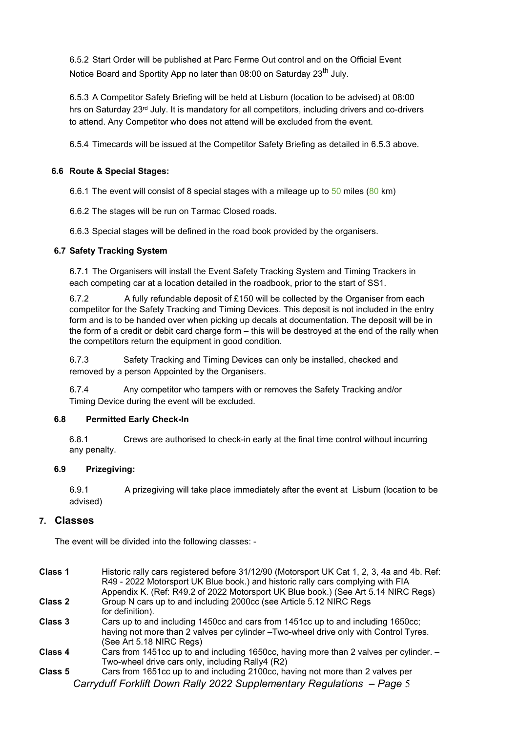6.5.2 Start Order will be published at Parc Ferme Out control and on the Official Event Notice Board and Sportity App no later than 08:00 on Saturday 23<sup>th</sup> July.

6.5.3 A Competitor Safety Briefing will be held at Lisburn (location to be advised) at 08:00 hrs on Saturday 23<sup>rd</sup> July. It is mandatory for all competitors, including drivers and co-drivers to attend. Any Competitor who does not attend will be excluded from the event.

6.5.4 Timecards will be issued at the Competitor Safety Briefing as detailed in 6.5.3 above.

## 6.6 Route & Special Stages:

6.6.1 The event will consist of 8 special stages with a mileage up to 50 miles (80 km)

6.6.2 The stages will be run on Tarmac Closed roads.

6.6.3 Special stages will be defined in the road book provided by the organisers.

### 6.7 Safety Tracking System

6.7.1 The Organisers will install the Event Safety Tracking System and Timing Trackers in each competing car at a location detailed in the roadbook, prior to the start of SS1.

6.7.2 A fully refundable deposit of £150 will be collected by the Organiser from each competitor for the Safety Tracking and Timing Devices. This deposit is not included in the entry form and is to be handed over when picking up decals at documentation. The deposit will be in the form of a credit or debit card charge form – this will be destroyed at the end of the rally when the competitors return the equipment in good condition.

6.7.3 Safety Tracking and Timing Devices can only be installed, checked and removed by a person Appointed by the Organisers.

6.7.4 Any competitor who tampers with or removes the Safety Tracking and/or Timing Device during the event will be excluded.

#### 6.8 Permitted Early Check-In

6.8.1 Crews are authorised to check-in early at the final time control without incurring any penalty.

#### 6.9 Prizegiving:

6.9.1 A prizegiving will take place immediately after the event at Lisburn (location to be advised)

#### 7. Classes

The event will be divided into the following classes: -

| Class 1 | Historic rally cars registered before 31/12/90 (Motorsport UK Cat 1, 2, 3, 4a and 4b. Ref:<br>R49 - 2022 Motorsport UK Blue book.) and historic rally cars complying with FIA<br>Appendix K. (Ref: R49.2 of 2022 Motorsport UK Blue book.) (See Art 5.14 NIRC Regs) |
|---------|---------------------------------------------------------------------------------------------------------------------------------------------------------------------------------------------------------------------------------------------------------------------|
| Class 2 | Group N cars up to and including 2000cc (see Article 5.12 NIRC Regs<br>for definition).                                                                                                                                                                             |
| Class 3 | Cars up to and including 1450cc and cars from 1451cc up to and including 1650cc;<br>having not more than 2 valves per cylinder - Two-wheel drive only with Control Tyres.<br>(See Art 5.18 NIRC Regs)                                                               |
| Class 4 | Cars from 1451cc up to and including 1650cc, having more than 2 valves per cylinder. -<br>Two-wheel drive cars only, including Rally4 (R2)                                                                                                                          |
| Class 5 | Cars from 1651cc up to and including 2100cc, having not more than 2 valves per<br>Carryduff Forklift Down Rally 2022 Supplementary Regulations - Page 5                                                                                                             |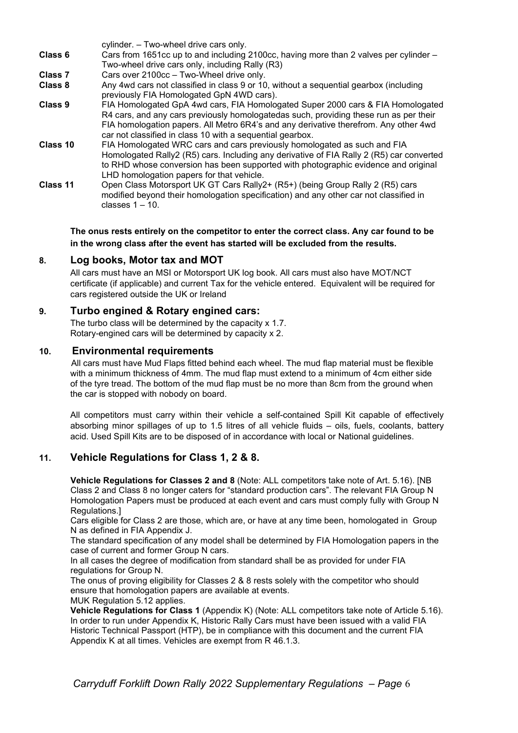|          | cylinder. - Two-wheel drive cars only.                                                                                                                                                                                                                                                                                        |
|----------|-------------------------------------------------------------------------------------------------------------------------------------------------------------------------------------------------------------------------------------------------------------------------------------------------------------------------------|
| Class 6  | Cars from 1651cc up to and including 2100cc, having more than 2 valves per cylinder -                                                                                                                                                                                                                                         |
|          | Two-wheel drive cars only, including Rally (R3)                                                                                                                                                                                                                                                                               |
| Class 7  | Cars over 2100cc - Two-Wheel drive only.                                                                                                                                                                                                                                                                                      |
| Class 8  | Any 4wd cars not classified in class 9 or 10, without a sequential gearbox (including<br>previously FIA Homologated GpN 4WD cars).                                                                                                                                                                                            |
| Class 9  | FIA Homologated GpA 4wd cars, FIA Homologated Super 2000 cars & FIA Homologated<br>R4 cars, and any cars previously homologatedas such, providing these run as per their<br>FIA homologation papers. All Metro 6R4's and any derivative therefrom. Any other 4wd<br>car not classified in class 10 with a sequential gearbox. |
| Class 10 | FIA Homologated WRC cars and cars previously homologated as such and FIA<br>Homologated Rally2 (R5) cars. Including any derivative of FIA Rally 2 (R5) car converted<br>to RHD whose conversion has been supported with photographic evidence and original<br>LHD homologation papers for that vehicle.                       |
| Class 11 | Open Class Motorsport UK GT Cars Rally2+ (R5+) (being Group Rally 2 (R5) cars<br>modified beyond their homologation specification) and any other car not classified in<br>classes $1 - 10$ .                                                                                                                                  |

The onus rests entirely on the competitor to enter the correct class. Any car found to be in the wrong class after the event has started will be excluded from the results.

## 8. Log books, Motor tax and MOT

All cars must have an MSI or Motorsport UK log book. All cars must also have MOT/NCT certificate (if applicable) and current Tax for the vehicle entered. Equivalent will be required for cars registered outside the UK or Ireland

## 9. Turbo engined & Rotary engined cars:

The turbo class will be determined by the capacity x 1.7. Rotary-engined cars will be determined by capacity x 2.

### 10. Environmental requirements

All cars must have Mud Flaps fitted behind each wheel. The mud flap material must be flexible with a minimum thickness of 4mm. The mud flap must extend to a minimum of 4cm either side of the tyre tread. The bottom of the mud flap must be no more than 8cm from the ground when the car is stopped with nobody on board.

All competitors must carry within their vehicle a self-contained Spill Kit capable of effectively absorbing minor spillages of up to 1.5 litres of all vehicle fluids – oils, fuels, coolants, battery acid. Used Spill Kits are to be disposed of in accordance with local or National guidelines.

## 11. Vehicle Regulations for Class 1, 2 & 8.

Vehicle Regulations for Classes 2 and 8 (Note: ALL competitors take note of Art. 5.16). [NB Class 2 and Class 8 no longer caters for "standard production cars". The relevant FIA Group N Homologation Papers must be produced at each event and cars must comply fully with Group N Regulations.]

Cars eligible for Class 2 are those, which are, or have at any time been, homologated in Group N as defined in FIA Appendix J.

The standard specification of any model shall be determined by FIA Homologation papers in the case of current and former Group N cars.

In all cases the degree of modification from standard shall be as provided for under FIA regulations for Group N.

The onus of proving eligibility for Classes 2 & 8 rests solely with the competitor who should ensure that homologation papers are available at events.

MUK Regulation 5.12 applies.

Vehicle Regulations for Class 1 (Appendix K) (Note: ALL competitors take note of Article 5.16). In order to run under Appendix K, Historic Rally Cars must have been issued with a valid FIA Historic Technical Passport (HTP), be in compliance with this document and the current FIA Appendix K at all times. Vehicles are exempt from R 46.1.3.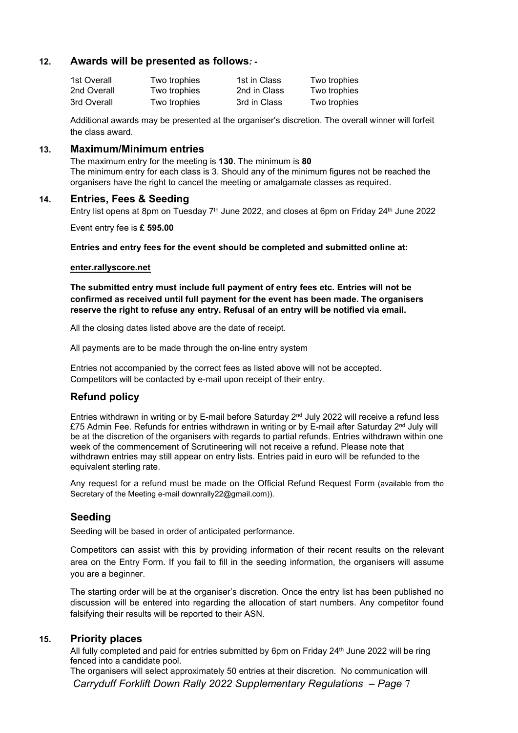## 12. Awards will be presented as follows: -

| 1st Overall | Two trophies  | 1st in Class | Two trophies |
|-------------|---------------|--------------|--------------|
| 2nd Overall | Two trophies  | 2nd in Class | Two trophies |
| 3rd Overall | Two trophies_ | 3rd in Class | Two trophies |

Additional awards may be presented at the organiser's discretion. The overall winner will forfeit the class award.

#### 13. Maximum/Minimum entries

The maximum entry for the meeting is 130. The minimum is 80 The minimum entry for each class is 3. Should any of the minimum figures not be reached the organisers have the right to cancel the meeting or amalgamate classes as required.

#### 14. Entries, Fees & Seeding

Entry list opens at 8pm on Tuesday 7<sup>th</sup> June 2022, and closes at 6pm on Friday 24<sup>th</sup> June 2022

Event entry fee is £ 595.00

Entries and entry fees for the event should be completed and submitted online at:

#### enter.rallyscore.net

The submitted entry must include full payment of entry fees etc. Entries will not be confirmed as received until full payment for the event has been made. The organisers reserve the right to refuse any entry. Refusal of an entry will be notified via email.

All the closing dates listed above are the date of receipt.

All payments are to be made through the on-line entry system

Entries not accompanied by the correct fees as listed above will not be accepted. Competitors will be contacted by e-mail upon receipt of their entry.

#### Refund policy

Entries withdrawn in writing or by E-mail before Saturday 2<sup>nd</sup> July 2022 will receive a refund less £75 Admin Fee. Refunds for entries withdrawn in writing or by E-mail after Saturday 2<sup>nd</sup> July will be at the discretion of the organisers with regards to partial refunds. Entries withdrawn within one week of the commencement of Scrutineering will not receive a refund. Please note that withdrawn entries may still appear on entry lists. Entries paid in euro will be refunded to the equivalent sterling rate.

Any request for a refund must be made on the Official Refund Request Form (available from the Secretary of the Meeting e-mail downrally22@gmail.com)).

## Seeding

Seeding will be based in order of anticipated performance.

Competitors can assist with this by providing information of their recent results on the relevant area on the Entry Form. If you fail to fill in the seeding information, the organisers will assume you are a beginner.

The starting order will be at the organiser's discretion. Once the entry list has been published no discussion will be entered into regarding the allocation of start numbers. Any competitor found falsifying their results will be reported to their ASN.

#### 15. Priority places

All fully completed and paid for entries submitted by 6pm on Friday 24<sup>th</sup> June 2022 will be ring fenced into a candidate pool.

Carryduff Forklift Down Rally 2022 Supplementary Regulations – Page 7 The organisers will select approximately 50 entries at their discretion. No communication will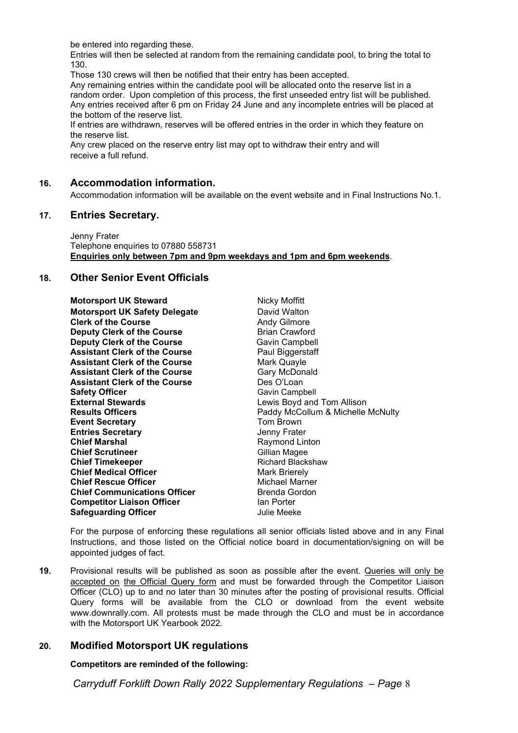be entered into regarding these.

Entries will then be selected at random from the remaining candidate pool, to bring the total to 130.

Those 130 crews will then be notified that their entry has been accepted.

Any remaining entries within the candidate pool will be allocated onto the reserve list in a random order. Upon completion of this process, the first unseeded entry list will be published. Any entries received after 6 pm on Friday 24 June and any incomplete entries will be placed at the bottom of the reserve list.

If entries are withdrawn, reserves will be offered entries in the order in which they feature on the reserve list.

Any crew placed on the reserve entry list may opt to withdraw their entry and will receive a full refund.

## 16. Accommodation information.

Accommodation information will be available on the event website and in Final Instructions No.1.

#### 17. Entries Secretary.

Jenny Frater Telephone enquiries to 07880 558731 Enquiries only between 7pm and 9pm weekdays and 1pm and 6pm weekends.

## 18. Other Senior Event Officials

Motorsport UK Steward Nicky Moffitt Motorsport UK Safety Delegate **David Walton** Clerk of the Course **Andy Gilmore** Andy Gilmore **Deputy Clerk of the Course Brian Crawford Deputy Clerk of the Course** Gavin Campbell Assistant Clerk of the Course **Paul Biggerstaff** Assistant Clerk of the Course **Mark Quayle** Assistant Clerk of the Course Gary McDonald<br>
Assistant Clerk of the Course **Gary Clean**<br>
Des O'Loan **Assistant Clerk of the Course** Safety Officer **Gavin Campbell** Gavin Campbell **External Stewards Lewis Boyd and Tom Allison** Event Secretary **Tom Brown Entries Secretary Contract Contract Contract Contract Contract Contract Contract Contract Contract Contract Contract Contract Contract Contract Contract Contract Contract Contract Contract Contract Contract Contract Contr Chief Marshal Chief Marshal Raymond Linton Chief Scrutineer** Gillian Magee **Chief Timekeeper All Exercise School Chief Timekeeper All Exercise School Chief Medical Officer All Exercise**<br>
Richard **Richard Deficer** All Exercise Mark Brierely **Chief Medical Officer Entitled Act and Mark Brierely<br>Chief Rescue Officer Michael Marner Chief Rescue Officer Chief Communications Officer Example 3 Brenda Gordon**<br>Competitor Liaison Officer **Brand Communist Competition Competitor Liaison Officer East Competitor Liaison Officer** Factor Man Porter<br> **Safequarding Officer** Factor Childie Meeke Safeguarding Officer

**Results Officers Paddy McCollum & Michelle McNulty** Paddy McCollum & Michelle McNulty

For the purpose of enforcing these regulations all senior officials listed above and in any Final Instructions, and those listed on the Official notice board in documentation/signing on will be appointed judges of fact.

19. Provisional results will be published as soon as possible after the event. Queries will only be accepted on the Official Query form and must be forwarded through the Competitor Liaison Officer (CLO) up to and no later than 30 minutes after the posting of provisional results. Official Query forms will be available from the CLO or download from the event website www.downrally.com. All protests must be made through the CLO and must be in accordance with the Motorsport UK Yearbook 2022.

## 20. Modified Motorsport UK regulations

Competitors are reminded of the following:

Carryduff Forklift Down Rally 2022 Supplementary Regulations – Page 8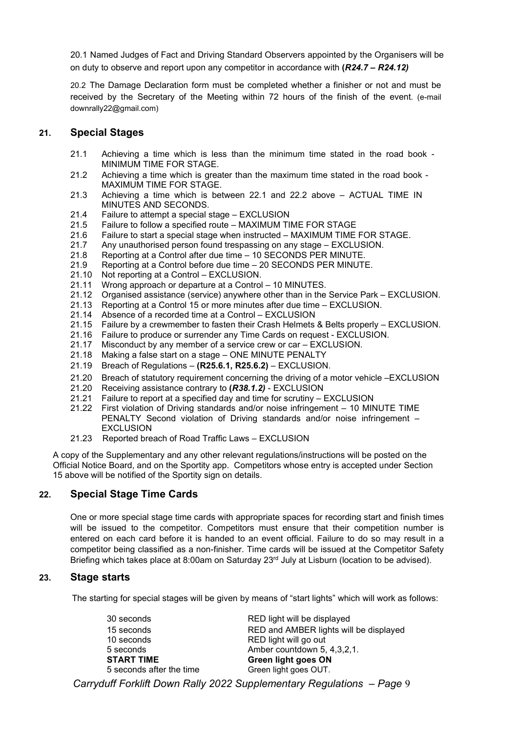20.1 Named Judges of Fact and Driving Standard Observers appointed by the Organisers will be on duty to observe and report upon any competitor in accordance with  $(R24.7 - R24.12)$ 

20.2 The Damage Declaration form must be completed whether a finisher or not and must be received by the Secretary of the Meeting within 72 hours of the finish of the event. (e-mail downrally22@gmail.com)

## 21. Special Stages

- 21.1 Achieving a time which is less than the minimum time stated in the road book MINIMUM TIME FOR STAGE.
- 21.2 Achieving a time which is greater than the maximum time stated in the road book MAXIMUM TIME FOR STAGE.
- 21.3 Achieving a time which is between 22.1 and 22.2 above ACTUAL TIME IN MINUTES AND SECONDS.
- 21.4 Failure to attempt a special stage EXCLUSION
- 21.5 Failure to follow a specified route MAXIMUM TIME FOR STAGE
- 21.6 Failure to start a special stage when instructed MAXIMUM TIME FOR STAGE.
- 21.7 Any unauthorised person found trespassing on any stage EXCLUSION.
- 21.8 Reporting at a Control after due time 10 SECONDS PER MINUTE.
- 21.9 Reporting at a Control before due time 20 SECONDS PER MINUTE.
- 21.10 Not reporting at a Control EXCLUSION.
- 21.11 Wrong approach or departure at a Control 10 MINUTES.
- 21.12 Organised assistance (service) anywhere other than in the Service Park EXCLUSION.
- 21.13 Reporting at a Control 15 or more minutes after due time EXCLUSION.
- 21.14 Absence of a recorded time at a Control EXCLUSION
- 21.15 Failure by a crewmember to fasten their Crash Helmets & Belts properly EXCLUSION.
- 21.16 Failure to produce or surrender any Time Cards on request EXCLUSION.
- 21.17 Misconduct by any member of a service crew or car EXCLUSION.
- 21.18 Making a false start on a stage ONE MINUTE PENALTY
- 21.19 Breach of Regulations (R25.6.1, R25.6.2) EXCLUSION.
- 21.20 Breach of statutory requirement concerning the driving of a motor vehicle –EXCLUSION
- 21.20 Receiving assistance contrary to (R38.1.2) EXCLUSION
- 21.21 Failure to report at a specified day and time for scrutiny EXCLUSION
- 21.22 First violation of Driving standards and/or noise infringement 10 MINUTE TIME PENALTY Second violation of Driving standards and/or noise infringement – **EXCLUSION**
- 21.23 Reported breach of Road Traffic Laws EXCLUSION

A copy of the Supplementary and any other relevant regulations/instructions will be posted on the Official Notice Board, and on the Sportity app. Competitors whose entry is accepted under Section 15 above will be notified of the Sportity sign on details.

## 22. Special Stage Time Cards

One or more special stage time cards with appropriate spaces for recording start and finish times will be issued to the competitor. Competitors must ensure that their competition number is entered on each card before it is handed to an event official. Failure to do so may result in a competitor being classified as a non-finisher. Time cards will be issued at the Competitor Safety Briefing which takes place at 8:00am on Saturday  $23^{rd}$  July at Lisburn (location to be advised).

## 23. Stage starts

The starting for special stages will be given by means of "start lights" which will work as follows:

| 30 seconds               | RED light will be displayed                                           |
|--------------------------|-----------------------------------------------------------------------|
| 15 seconds               | RED and AMBER lights will be displayed                                |
| 10 seconds               | RED light will go out                                                 |
| 5 seconds                | Amber countdown 5, 4,3,2,1.                                           |
| <b>START TIME</b>        | Green light goes ON                                                   |
| 5 seconds after the time | Green light goes OUT.                                                 |
|                          | Carryduff Forklift Down Rally 2022 Supplementary Regulations - Page 9 |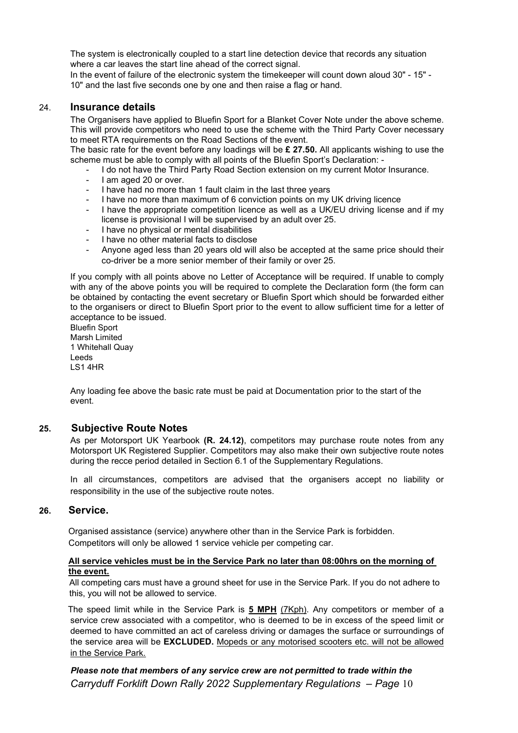The system is electronically coupled to a start line detection device that records any situation where a car leaves the start line ahead of the correct signal.

In the event of failure of the electronic system the timekeeper will count down aloud 30" - 15" - 10" and the last five seconds one by one and then raise a flag or hand.

#### 24. Insurance details

The Organisers have applied to Bluefin Sport for a Blanket Cover Note under the above scheme. This will provide competitors who need to use the scheme with the Third Party Cover necessary to meet RTA requirements on the Road Sections of the event.

The basic rate for the event before any loadings will be  $£$  27.50. All applicants wishing to use the scheme must be able to comply with all points of the Bluefin Sport's Declaration: -

- I do not have the Third Party Road Section extension on my current Motor Insurance.
- I am aged 20 or over.
- I have had no more than 1 fault claim in the last three years
- I have no more than maximum of 6 conviction points on my UK driving licence
- I have the appropriate competition licence as well as a UK/EU driving license and if my license is provisional I will be supervised by an adult over 25.
- I have no physical or mental disabilities
- I have no other material facts to disclose
- Anyone aged less than 20 years old will also be accepted at the same price should their co-driver be a more senior member of their family or over 25.

If you comply with all points above no Letter of Acceptance will be required. If unable to comply with any of the above points you will be required to complete the Declaration form (the form can be obtained by contacting the event secretary or Bluefin Sport which should be forwarded either to the organisers or direct to Bluefin Sport prior to the event to allow sufficient time for a letter of acceptance to be issued.

Bluefin Sport Marsh Limited 1 Whitehall Quay Leeds LS1 4HR

Any loading fee above the basic rate must be paid at Documentation prior to the start of the event.

#### 25. Subjective Route Notes

As per Motorsport UK Yearbook (R. 24.12), competitors may purchase route notes from any Motorsport UK Registered Supplier. Competitors may also make their own subjective route notes during the recce period detailed in Section 6.1 of the Supplementary Regulations.

In all circumstances, competitors are advised that the organisers accept no liability or responsibility in the use of the subjective route notes.

## 26. Service.

Organised assistance (service) anywhere other than in the Service Park is forbidden. Competitors will only be allowed 1 service vehicle per competing car.

#### All service vehicles must be in the Service Park no later than 08:00hrs on the morning of the event.

All competing cars must have a ground sheet for use in the Service Park. If you do not adhere to this, you will not be allowed to service.

The speed limit while in the Service Park is 5 MPH (7Kph). Any competitors or member of a service crew associated with a competitor, who is deemed to be in excess of the speed limit or deemed to have committed an act of careless driving or damages the surface or surroundings of the service area will be EXCLUDED. Mopeds or any motorised scooters etc. will not be allowed in the Service Park.

Carryduff Forklift Down Rally 2022 Supplementary Regulations – Page 10 Please note that members of any service crew are not permitted to trade within the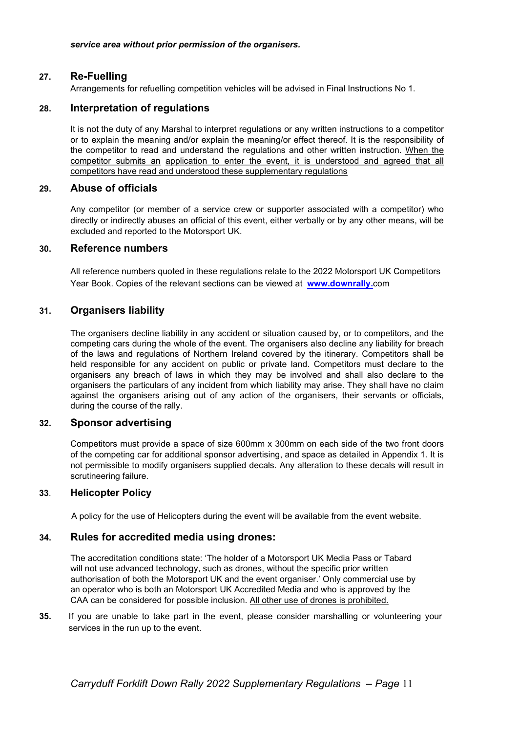## 27. Re-Fuelling

Arrangements for refuelling competition vehicles will be advised in Final Instructions No 1.

## 28. Interpretation of regulations

It is not the duty of any Marshal to interpret regulations or any written instructions to a competitor or to explain the meaning and/or explain the meaning/or effect thereof. It is the responsibility of the competitor to read and understand the regulations and other written instruction. When the competitor submits an application to enter the event, it is understood and agreed that all competitors have read and understood these supplementary regulations

#### 29. Abuse of officials

Any competitor (or member of a service crew or supporter associated with a competitor) who directly or indirectly abuses an official of this event, either verbally or by any other means, will be excluded and reported to the Motorsport UK.

#### 30. Reference numbers

All reference numbers quoted in these regulations relate to the 2022 Motorsport UK Competitors Year Book. Copies of the relevant sections can be viewed at www.downrally.com

### 31. Organisers liability

The organisers decline liability in any accident or situation caused by, or to competitors, and the competing cars during the whole of the event. The organisers also decline any liability for breach of the laws and regulations of Northern Ireland covered by the itinerary. Competitors shall be held responsible for any accident on public or private land. Competitors must declare to the organisers any breach of laws in which they may be involved and shall also declare to the organisers the particulars of any incident from which liability may arise. They shall have no claim against the organisers arising out of any action of the organisers, their servants or officials, during the course of the rally.

#### 32. Sponsor advertising

Competitors must provide a space of size 600mm x 300mm on each side of the two front doors of the competing car for additional sponsor advertising, and space as detailed in Appendix 1. It is not permissible to modify organisers supplied decals. Any alteration to these decals will result in scrutineering failure.

#### 33. Helicopter Policy

A policy for the use of Helicopters during the event will be available from the event website.

#### 34. Rules for accredited media using drones:

The accreditation conditions state: 'The holder of a Motorsport UK Media Pass or Tabard will not use advanced technology, such as drones, without the specific prior written authorisation of both the Motorsport UK and the event organiser.' Only commercial use by an operator who is both an Motorsport UK Accredited Media and who is approved by the CAA can be considered for possible inclusion. All other use of drones is prohibited.

35. If you are unable to take part in the event, please consider marshalling or volunteering your services in the run up to the event.